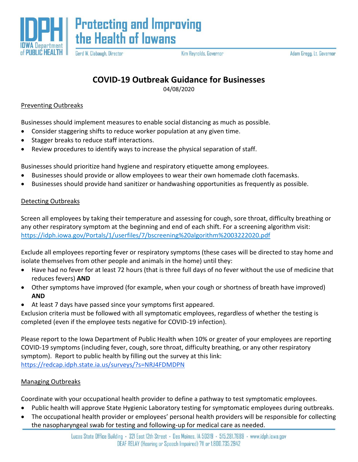

Gerd W. Clabaugh, Director

Kim Reynolds, Governor

## **COVID-19 Outbreak Guidance for Businesses**

04/08/2020

## Preventing Outbreaks

Businesses should implement measures to enable social distancing as much as possible.

- Consider staggering shifts to reduce worker population at any given time.
- Stagger breaks to reduce staff interactions.
- Review procedures to identify ways to increase the physical separation of staff.

Businesses should prioritize hand hygiene and respiratory etiquette among employees.

- Businesses should provide or allow employees to wear their own homemade cloth facemasks.
- Businesses should provide hand sanitizer or handwashing opportunities as frequently as possible.

## Detecting Outbreaks

Screen all employees by taking their temperature and assessing for cough, sore throat, difficulty breathing or any other respiratory symptom at the beginning and end of each shift. For a screening algorithm visit: <https://idph.iowa.gov/Portals/1/userfiles/7/bscreening%20algorithm%2003222020.pdf>

Exclude all employees reporting fever or respiratory symptoms (these cases will be directed to stay home and isolate themselves from other people and animals in the home) until they:

- Have had no fever for at least 72 hours (that is three full days of no fever without the use of medicine that reduces fevers) **AND**
- Other symptoms have improved (for example, when your cough or shortness of breath have improved) **AND**
- At least 7 days have passed since your symptoms first appeared.

Exclusion criteria must be followed with all symptomatic employees, regardless of whether the testing is completed (even if the employee tests negative for COVID-19 infection).

Please report to the Iowa Department of Public Health when 10% or greater of your employees are reporting COVID-19 symptoms (including fever, cough, sore throat, difficulty breathing, or any other respiratory symptom). Report to public health by filling out the survey at this link: <https://redcap.idph.state.ia.us/surveys/?s=NRJ4FDMDPN>

## Managing Outbreaks

Coordinate with your occupational health provider to define a pathway to test symptomatic employees.

- Public health will approve State Hygienic Laboratory testing for symptomatic employees during outbreaks.
- The occupational health provider or employees' personal health providers will be responsible for collecting the nasopharyngeal swab for testing and following-up for medical care as needed.